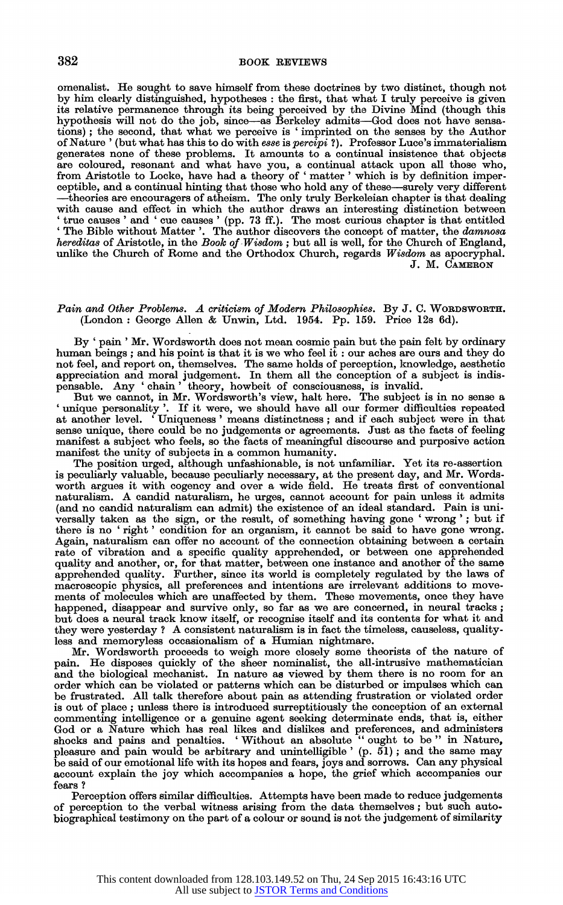## **382 BOOK REVIEWS**

**omenalist. He sought to save himself from these doctrines by two distinct, though not by him clearly distinguished, hypotheses : the first, that what I truly perceive is given its relative permanence through its being perceived by the Divine Mind (though this hypothesis will not do the job, since-as Berkeley admits-God does not have sensa**tions); the second, that what we perceive is 'imprinted on the senses by the Author of Nature ' (but what has this to do with *esse* is *percipi* ?). Professor Luce's immaterialism **generates none of these problems. It amounts to a continual insistence that objects are coloured, resonant and what have you, a continual attack upon all those who, from Aristotle to Locke, have had a theory of 'matter' which is by definition imperceptible, and a continual hinting that those who hold any of these-surely very different -theories are encouragers of atheism. The only truly Berkeleian chapter is that dealing**  with cause and effect in which the author draws an interesting distinction between<br>  $\alpha$  true causes and  $\alpha$  cue causes (pp. 73 ff.). The most curious chapter is that entitled **'The Bible without Matter '. The author discovers the concept of matter, the damnosa hereditas of Aristotle, in the Book of Wisdom ; but all is well, for the Church of England, unlike the Church of Rome and the Orthodox Church, regards Wisdom as apocryphal. J. M. CAMERON** 

## **Pain and Other Problems. A criticism of Modern Philosophies. By J. C. WORDSWORTH. (London: George Allen & Unwin, Ltd. 1954. Pp. 159. Price 12s 6d).**

**By ' pain ' Mr. Wordsworth does not mean cosmic pain but the pain felt by ordinary human beings; and his point is that it is we who feel it : our aches are ours and they do not feel, and report on, themselves. The same holds of perception, knowledge, aesthetic appreciation and moral judgement. In them all the conception of a subject is indis-**

**pensable. Any 'chain' theory, howbeit of consciousness, is invalid. But we cannot, in Mr. Wordsworth's view, halt here. The subject is in no sense a 'unique personality '. If it were, we should have all our former difficulties repeated at another level. 'Uniqueness' means distinctness; and if each subject were in that sense unique, there could be no judgements or agreements. Just as the facts of feeling manifest a subject who feels, so the facts of meaningful discourse and purposive action manifest the unity of subjects in a common humanity.** 

**The position urged, although unfashionable, is not unfamiliar. Yet its re-assertion is peculiarly valuable, because peculiarly necessary, at the present day, and Mr. Words**worth argues it with cogency and over a wide field. He treats first of conventional **naturalism. A candid naturalism, he urges, cannot account for pain unless it admits (and no candid naturalism can admit) the existence of an ideal standard. Pain is uni**versally taken as the sign, or the result, of something having gone 'wrong'; but if **there is no 'right' condition for an organism, it cannot be said to have gone wrong. Again, naturalism can offer no account of the connection obtaining between a certain rate of vibration and a specific quality apprehended, or between one apprehended quality and another, or, for that matter, between one instance and another of the same apprehended quality. Further, since its world is completely regulated by the laws of macroscopic physics, all preferences and intentions are irrelevant additions to move-ments of molecules which are unaffected by them. These movements, once they have happened, disappear and survive only, so far as we are concerned, in neural tracks; but does a neural track know itself, or recognise itself and its contents for what it and they were yesterday ? A consistent naturalism is in fact the timeless, causeless, qualityless and memoryless occasionalism of a Humian nightmare.** 

**Mr. Wordsworth proceeds to weigh more closely some theorists of the nature of pain. He disposes quickly of the sheer nominalist, the all-intrusive mathematician and the biological mechanist. In nature as viewed by them there is no room for an order which can be violated or patterns which can be disturbed or impulses which can be frustrated. All talk therefore about pain as attending frustration or violated order is out of place; unless there is introduced surreptitiously the conception of an external commenting intelligence or a genuine agent seeking determinate ends, that is, either God or a Nature which has real likes and dislikes and preferences, and administers shocks and pains and penalties. 'Without an absolute "ought to be " in Nature, pleasure and pain would be arbitrary and unintelligible' (p. 51); and the same may be said of our emotional life with its hopes and fears, joys and sorrows. Can any physical account explain the joy which accompanies a hope, the grief which accompanies our fears ?** 

**Perception offers similar difficulties. Attempts have been made to reduce judgements of perception to the verbal witness arising from the data themselves; but such auto. biographical testimony on the part of a colour or sound is not the judgement of similarity**